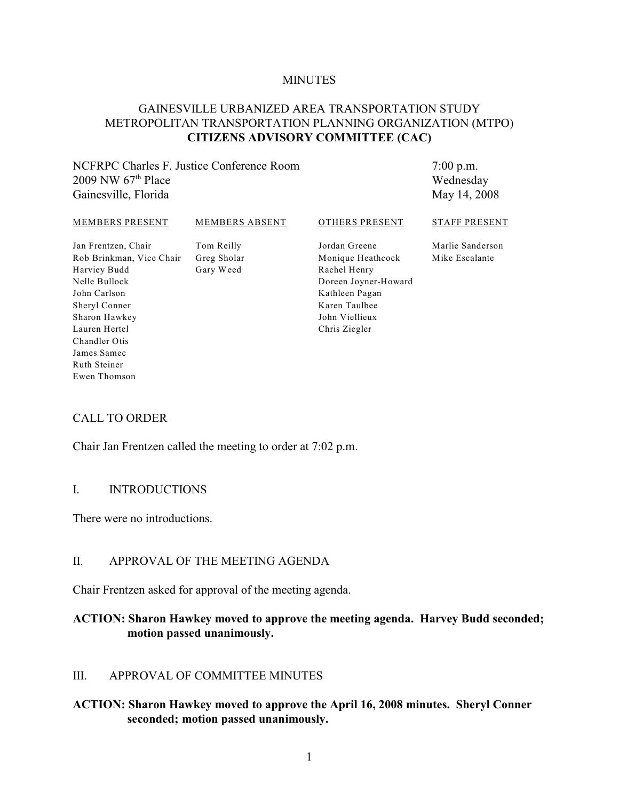#### **MINUTES**

## GAINESVILLE URBANIZED AREA TRANSPORTATION STUDY METROPOLITAN TRANSPORTATION PLANNING ORGANIZATION (MTPO) **CITIZENS ADVISORY COMMITTEE (CAC)**

## NCFRPC Charles F. Justice Conference Room 2009 NW  $67<sup>th</sup>$  Place Gainesville, Florida

7:00 p.m. Wednesday May 14, 2008

#### MEMBERS PRESENT

MEMBERS ABSENT

#### OTHERS PRESENT

Jan Frentzen, Chair Rob Brinkman, Vice Chair Harviey Budd Nelle Bullock John Carlson Sheryl Conner Sharon Hawkey Lauren Hertel Chandler Otis James Samec Ruth Steiner Ewen Thomson

Tom Reilly Greg Sholar Gary Weed

Jordan Greene Monique Heathcock Rachel Henry Doreen Joyner-Howard Kathleen Pagan Karen Taulbee John Viellieux Chris Ziegler

Marlie Sanderson

STAFF PRESENT

Mike Escalante

## CALL TO ORDER

Chair Jan Frentzen called the meeting to order at 7:02 p.m.

#### I. INTRODUCTIONS

There were no introductions.

## II. APPROVAL OF THE MEETING AGENDA

Chair Frentzen asked for approval of the meeting agenda.

## **ACTION: Sharon Hawkey moved to approve the meeting agenda. Harvey Budd seconded; motion passed unanimously.**

#### III. APPROVAL OF COMMITTEE MINUTES

## **ACTION: Sharon Hawkey moved to approve the April 16, 2008 minutes. Sheryl Conner seconded; motion passed unanimously.**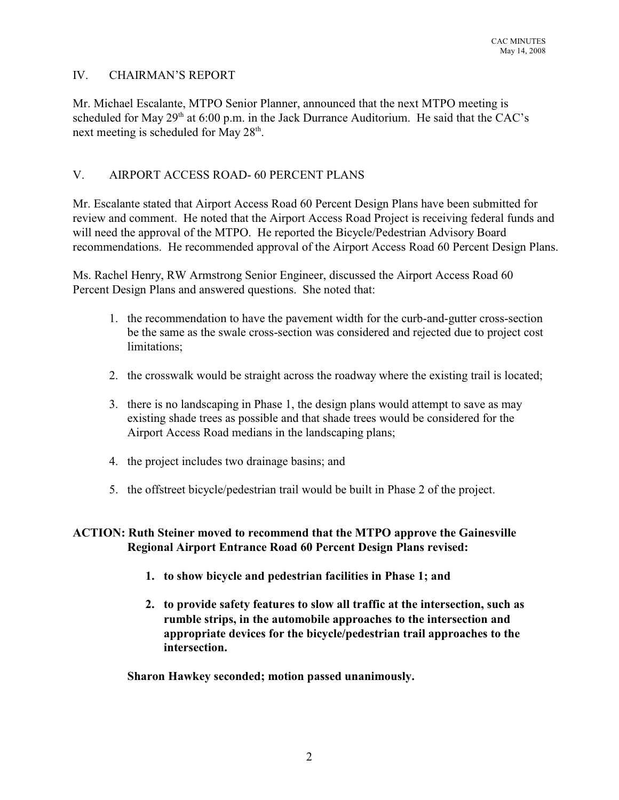# IV. CHAIRMAN'S REPORT

Mr. Michael Escalante, MTPO Senior Planner, announced that the next MTPO meeting is scheduled for May  $29<sup>th</sup>$  at 6:00 p.m. in the Jack Durrance Auditorium. He said that the CAC's next meeting is scheduled for May  $28<sup>th</sup>$ .

# V. AIRPORT ACCESS ROAD- 60 PERCENT PLANS

Mr. Escalante stated that Airport Access Road 60 Percent Design Plans have been submitted for review and comment. He noted that the Airport Access Road Project is receiving federal funds and will need the approval of the MTPO. He reported the Bicycle/Pedestrian Advisory Board recommendations. He recommended approval of the Airport Access Road 60 Percent Design Plans.

Ms. Rachel Henry, RW Armstrong Senior Engineer, discussed the Airport Access Road 60 Percent Design Plans and answered questions. She noted that:

- 1. the recommendation to have the pavement width for the curb-and-gutter cross-section be the same as the swale cross-section was considered and rejected due to project cost limitations;
- 2. the crosswalk would be straight across the roadway where the existing trail is located;
- 3. there is no landscaping in Phase 1, the design plans would attempt to save as may existing shade trees as possible and that shade trees would be considered for the Airport Access Road medians in the landscaping plans;
- 4. the project includes two drainage basins; and
- 5. the offstreet bicycle/pedestrian trail would be built in Phase 2 of the project.

**ACTION: Ruth Steiner moved to recommend that the MTPO approve the Gainesville Regional Airport Entrance Road 60 Percent Design Plans revised:**

- **1. to show bicycle and pedestrian facilities in Phase 1; and**
- **2. to provide safety features to slow all traffic at the intersection, such as rumble strips, in the automobile approaches to the intersection and appropriate devices for the bicycle/pedestrian trail approaches to the intersection.**

**Sharon Hawkey seconded; motion passed unanimously.**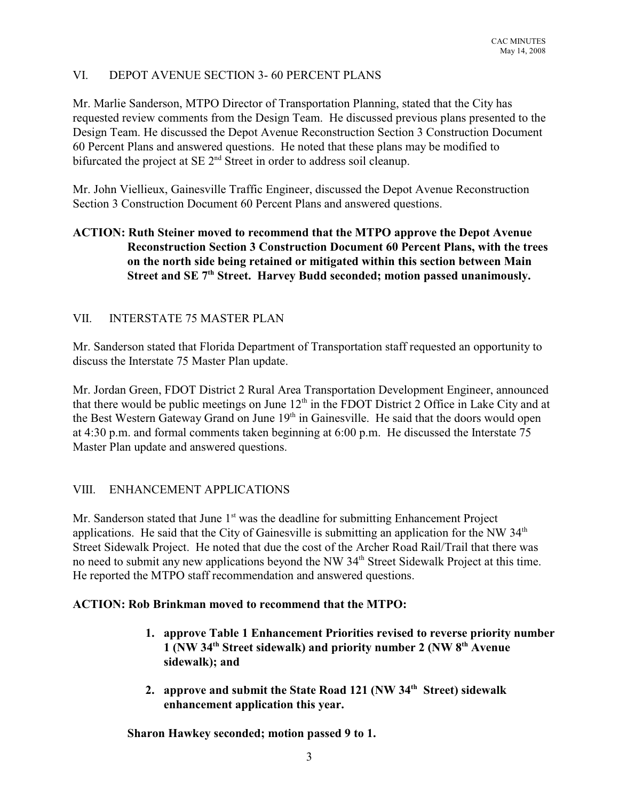# VI. DEPOT AVENUE SECTION 3- 60 PERCENT PLANS

Mr. Marlie Sanderson, MTPO Director of Transportation Planning, stated that the City has requested review comments from the Design Team. He discussed previous plans presented to the Design Team. He discussed the Depot Avenue Reconstruction Section 3 Construction Document 60 Percent Plans and answered questions. He noted that these plans may be modified to bifurcated the project at SE  $2<sup>nd</sup>$  Street in order to address soil cleanup.

Mr. John Viellieux, Gainesville Traffic Engineer, discussed the Depot Avenue Reconstruction Section 3 Construction Document 60 Percent Plans and answered questions.

# **ACTION: Ruth Steiner moved to recommend that the MTPO approve the Depot Avenue Reconstruction Section 3 Construction Document 60 Percent Plans, with the trees on the north side being retained or mitigated within this section between Main** Street and SE 7<sup>th</sup> Street. Harvey Budd seconded; motion passed unanimously.

# VII. INTERSTATE 75 MASTER PLAN

Mr. Sanderson stated that Florida Department of Transportation staff requested an opportunity to discuss the Interstate 75 Master Plan update.

Mr. Jordan Green, FDOT District 2 Rural Area Transportation Development Engineer, announced that there would be public meetings on June  $12<sup>th</sup>$  in the FDOT District 2 Office in Lake City and at the Best Western Gateway Grand on June 19<sup>th</sup> in Gainesville. He said that the doors would open at 4:30 p.m. and formal comments taken beginning at 6:00 p.m. He discussed the Interstate 75 Master Plan update and answered questions.

# VIII. ENHANCEMENT APPLICATIONS

Mr. Sanderson stated that June  $1<sup>st</sup>$  was the deadline for submitting Enhancement Project applications. He said that the City of Gainesville is submitting an application for the NW  $34<sup>th</sup>$ Street Sidewalk Project. He noted that due the cost of the Archer Road Rail/Trail that there was no need to submit any new applications beyond the NW 34<sup>th</sup> Street Sidewalk Project at this time. He reported the MTPO staff recommendation and answered questions.

# **ACTION: Rob Brinkman moved to recommend that the MTPO:**

- **1. approve Table 1 Enhancement Priorities revised to reverse priority number 1 (NW 34<sup>th</sup> Street sidewalk) and priority number 2 (NW 8<sup>th</sup> Avenue sidewalk); and**
- **2. approve and submit the State Road 121 (NW 34<sup>th</sup> Street) sidewalk enhancement application this year.**

**Sharon Hawkey seconded; motion passed 9 to 1.**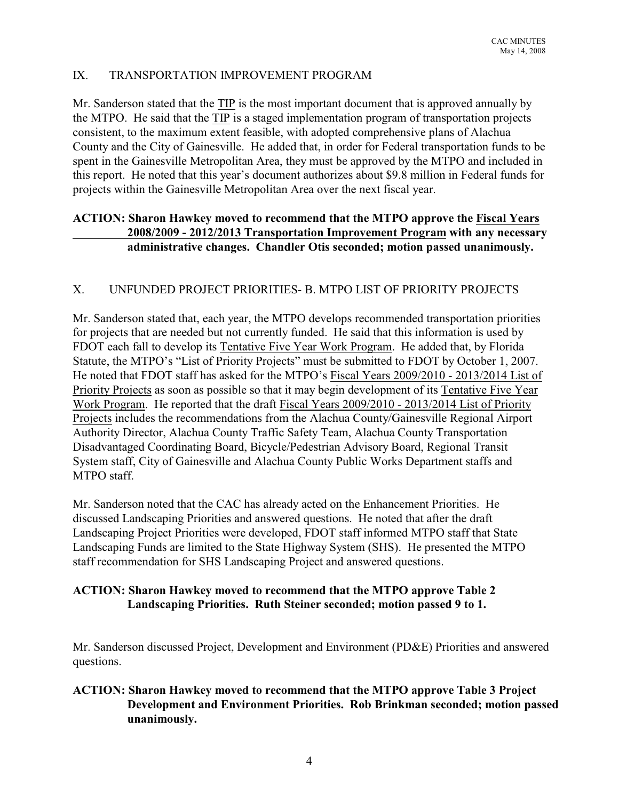# IX. TRANSPORTATION IMPROVEMENT PROGRAM

Mr. Sanderson stated that the TIP is the most important document that is approved annually by the MTPO. He said that the TIP is a staged implementation program of transportation projects consistent, to the maximum extent feasible, with adopted comprehensive plans of Alachua County and the City of Gainesville. He added that, in order for Federal transportation funds to be spent in the Gainesville Metropolitan Area, they must be approved by the MTPO and included in this report. He noted that this year's document authorizes about \$9.8 million in Federal funds for projects within the Gainesville Metropolitan Area over the next fiscal year.

# **ACTION: Sharon Hawkey moved to recommend that the MTPO approve the Fiscal Years 2008/2009 - 2012/2013 Transportation Improvement Program with any necessary administrative changes. Chandler Otis seconded; motion passed unanimously.**

# X. UNFUNDED PROJECT PRIORITIES- B. MTPO LIST OF PRIORITY PROJECTS

Mr. Sanderson stated that, each year, the MTPO develops recommended transportation priorities for projects that are needed but not currently funded. He said that this information is used by FDOT each fall to develop its Tentative Five Year Work Program. He added that, by Florida Statute, the MTPO's "List of Priority Projects" must be submitted to FDOT by October 1, 2007. He noted that FDOT staff has asked for the MTPO's Fiscal Years 2009/2010 - 2013/2014 List of Priority Projects as soon as possible so that it may begin development of its Tentative Five Year Work Program. He reported that the draft Fiscal Years 2009/2010 - 2013/2014 List of Priority Projects includes the recommendations from the Alachua County/Gainesville Regional Airport Authority Director, Alachua County Traffic Safety Team, Alachua County Transportation Disadvantaged Coordinating Board, Bicycle/Pedestrian Advisory Board, Regional Transit System staff, City of Gainesville and Alachua County Public Works Department staffs and MTPO staff.

Mr. Sanderson noted that the CAC has already acted on the Enhancement Priorities. He discussed Landscaping Priorities and answered questions. He noted that after the draft Landscaping Project Priorities were developed, FDOT staff informed MTPO staff that State Landscaping Funds are limited to the State Highway System (SHS). He presented the MTPO staff recommendation for SHS Landscaping Project and answered questions.

# **ACTION: Sharon Hawkey moved to recommend that the MTPO approve Table 2 Landscaping Priorities. Ruth Steiner seconded; motion passed 9 to 1.**

Mr. Sanderson discussed Project, Development and Environment (PD&E) Priorities and answered questions.

# **ACTION: Sharon Hawkey moved to recommend that the MTPO approve Table 3 Project Development and Environment Priorities. Rob Brinkman seconded; motion passed unanimously.**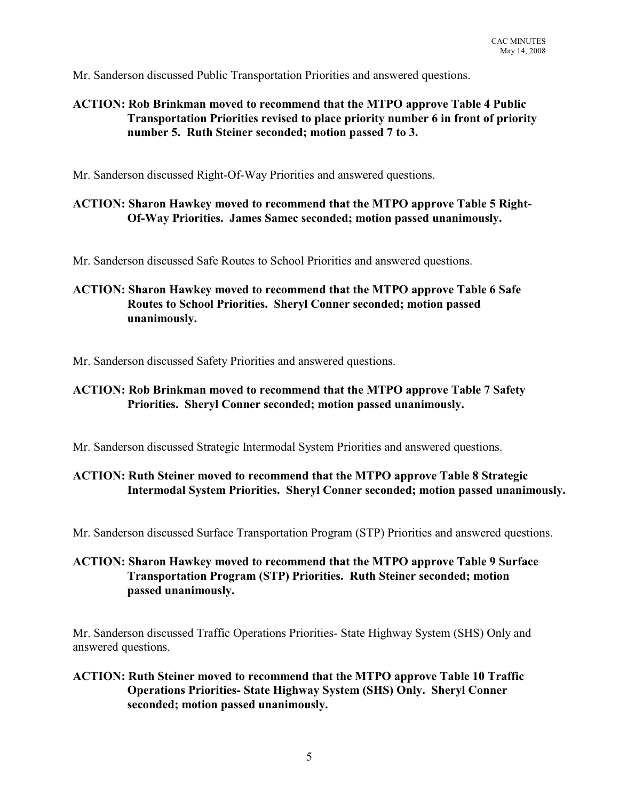Mr. Sanderson discussed Public Transportation Priorities and answered questions.

# **ACTION: Rob Brinkman moved to recommend that the MTPO approve Table 4 Public Transportation Priorities revised to place priority number 6 in front of priority number 5. Ruth Steiner seconded; motion passed 7 to 3.**

Mr. Sanderson discussed Right-Of-Way Priorities and answered questions.

### **ACTION: Sharon Hawkey moved to recommend that the MTPO approve Table 5 Right-Of-Way Priorities. James Samec seconded; motion passed unanimously.**

Mr. Sanderson discussed Safe Routes to School Priorities and answered questions.

# **ACTION: Sharon Hawkey moved to recommend that the MTPO approve Table 6 Safe Routes to School Priorities. Sheryl Conner seconded; motion passed unanimously.**

Mr. Sanderson discussed Safety Priorities and answered questions.

## **ACTION: Rob Brinkman moved to recommend that the MTPO approve Table 7 Safety Priorities. Sheryl Conner seconded; motion passed unanimously.**

Mr. Sanderson discussed Strategic Intermodal System Priorities and answered questions.

# **ACTION: Ruth Steiner moved to recommend that the MTPO approve Table 8 Strategic Intermodal System Priorities. Sheryl Conner seconded; motion passed unanimously.**

Mr. Sanderson discussed Surface Transportation Program (STP) Priorities and answered questions.

## **ACTION: Sharon Hawkey moved to recommend that the MTPO approve Table 9 Surface Transportation Program (STP) Priorities. Ruth Steiner seconded; motion passed unanimously.**

Mr. Sanderson discussed Traffic Operations Priorities- State Highway System (SHS) Only and answered questions.

## **ACTION: Ruth Steiner moved to recommend that the MTPO approve Table 10 Traffic Operations Priorities- State Highway System (SHS) Only. Sheryl Conner seconded; motion passed unanimously.**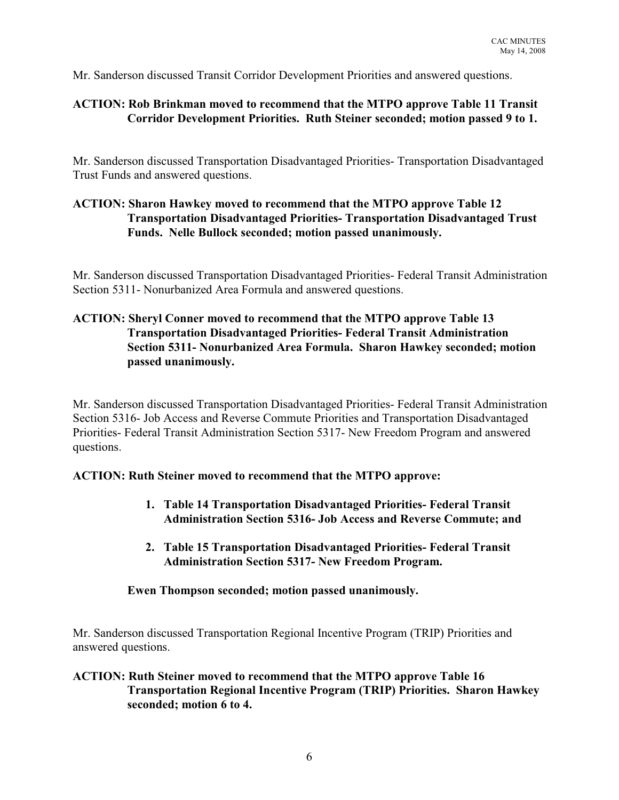Mr. Sanderson discussed Transit Corridor Development Priorities and answered questions.

# **ACTION: Rob Brinkman moved to recommend that the MTPO approve Table 11 Transit Corridor Development Priorities. Ruth Steiner seconded; motion passed 9 to 1.**

Mr. Sanderson discussed Transportation Disadvantaged Priorities- Transportation Disadvantaged Trust Funds and answered questions.

# **ACTION: Sharon Hawkey moved to recommend that the MTPO approve Table 12 Transportation Disadvantaged Priorities- Transportation Disadvantaged Trust Funds. Nelle Bullock seconded; motion passed unanimously.**

Mr. Sanderson discussed Transportation Disadvantaged Priorities- Federal Transit Administration Section 5311- Nonurbanized Area Formula and answered questions.

# **ACTION: Sheryl Conner moved to recommend that the MTPO approve Table 13 Transportation Disadvantaged Priorities- Federal Transit Administration Section 5311- Nonurbanized Area Formula. Sharon Hawkey seconded; motion passed unanimously.**

Mr. Sanderson discussed Transportation Disadvantaged Priorities- Federal Transit Administration Section 5316- Job Access and Reverse Commute Priorities and Transportation Disadvantaged Priorities- Federal Transit Administration Section 5317- New Freedom Program and answered questions.

### **ACTION: Ruth Steiner moved to recommend that the MTPO approve:**

- **1. Table 14 Transportation Disadvantaged Priorities- Federal Transit Administration Section 5316- Job Access and Reverse Commute; and**
- **2. Table 15 Transportation Disadvantaged Priorities- Federal Transit Administration Section 5317- New Freedom Program.**

### **Ewen Thompson seconded; motion passed unanimously.**

Mr. Sanderson discussed Transportation Regional Incentive Program (TRIP) Priorities and answered questions.

## **ACTION: Ruth Steiner moved to recommend that the MTPO approve Table 16 Transportation Regional Incentive Program (TRIP) Priorities. Sharon Hawkey seconded; motion 6 to 4.**